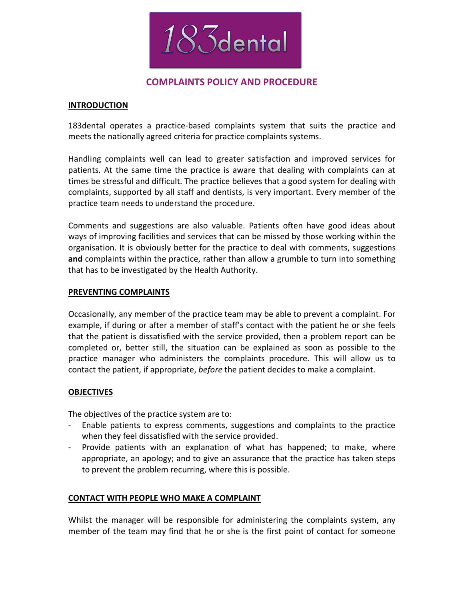

# **COMPLAINTS POLICY AND PROCEDURE**

#### **INTRODUCTION**

183dental operates a practice-based complaints system that suits the practice and meets the nationally agreed criteria for practice complaints systems.

Handling complaints well can lead to greater satisfaction and improved services for patients. At the same time the practice is aware that dealing with complaints can at times be stressful and difficult. The practice believes that a good system for dealing with complaints, supported by all staff and dentists, is very important. Every member of the practice team needs to understand the procedure.

Comments and suggestions are also valuable. Patients often have good ideas about ways of improving facilities and services that can be missed by those working within the organisation. It is obviously better for the practice to deal with comments, suggestions **and** complaints within the practice, rather than allow a grumble to turn into something that has to be investigated by the Health Authority.

### **PREVENTING COMPLAINTS**

Occasionally, any member of the practice team may be able to prevent a complaint. For example, if during or after a member of staff's contact with the patient he or she feels that the patient is dissatisfied with the service provided, then a problem report can be completed or, better still, the situation can be explained as soon as possible to the practice manager who administers the complaints procedure. This will allow us to contact the patient, if appropriate, *before* the patient decides to make a complaint.

## **OBJECTIVES**

The objectives of the practice system are to:

- Enable patients to express comments, suggestions and complaints to the practice when they feel dissatisfied with the service provided.
- Provide patients with an explanation of what has happened; to make, where appropriate, an apology; and to give an assurance that the practice has taken steps to prevent the problem recurring, where this is possible.

## **CONTACT WITH PEOPLE WHO MAKE A COMPLAINT**

Whilst the manager will be responsible for administering the complaints system, any member of the team may find that he or she is the first point of contact for someone